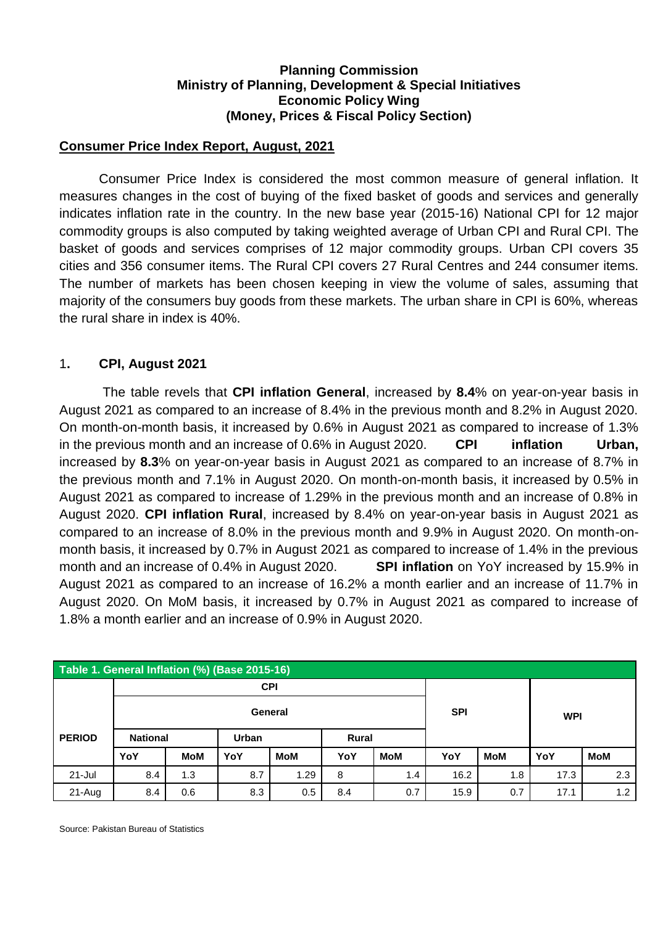#### **Planning Commission Ministry of Planning, Development & Special Initiatives Economic Policy Wing (Money, Prices & Fiscal Policy Section)**

### **Consumer Price Index Report, August, 2021**

Consumer Price Index is considered the most common measure of general inflation. It measures changes in the cost of buying of the fixed basket of goods and services and generally indicates inflation rate in the country. In the new base year (2015-16) National CPI for 12 major commodity groups is also computed by taking weighted average of Urban CPI and Rural CPI. The basket of goods and services comprises of 12 major commodity groups. Urban CPI covers 35 cities and 356 consumer items. The Rural CPI covers 27 Rural Centres and 244 consumer items. The number of markets has been chosen keeping in view the volume of sales, assuming that majority of the consumers buy goods from these markets. The urban share in CPI is 60%, whereas the rural share in index is 40%.

### 1**. CPI, August 2021**

The table revels that **CPI inflation General**, increased by **8.4**% on year-on-year basis in August 2021 as compared to an increase of 8.4% in the previous month and 8.2% in August 2020. On month-on-month basis, it increased by 0.6% in August 2021 as compared to increase of 1.3% in the previous month and an increase of 0.6% in August 2020. **CPI inflation Urban,** increased by **8.3**% on year-on-year basis in August 2021 as compared to an increase of 8.7% in the previous month and 7.1% in August 2020. On month-on-month basis, it increased by 0.5% in August 2021 as compared to increase of 1.29% in the previous month and an increase of 0.8% in August 2020. **CPI inflation Rural**, increased by 8.4% on year-on-year basis in August 2021 as compared to an increase of 8.0% in the previous month and 9.9% in August 2020. On month-onmonth basis, it increased by 0.7% in August 2021 as compared to increase of 1.4% in the previous month and an increase of 0.4% in August 2020. **SPI inflation** on YoY increased by 15.9% in August 2021 as compared to an increase of 16.2% a month earlier and an increase of 11.7% in August 2020. On MoM basis, it increased by 0.7% in August 2021 as compared to increase of 1.8% a month earlier and an increase of 0.9% in August 2020.

| Table 1. General Inflation (%) (Base 2015-16) |                       |                       |     |            |     |            |            |     |            |            |  |
|-----------------------------------------------|-----------------------|-----------------------|-----|------------|-----|------------|------------|-----|------------|------------|--|
|                                               | <b>CPI</b><br>General |                       |     |            |     |            |            |     | <b>WPI</b> |            |  |
|                                               |                       |                       |     |            |     |            | <b>SPI</b> |     |            |            |  |
| <b>PERIOD</b>                                 | <b>National</b>       | Urban<br><b>Rural</b> |     |            |     |            |            |     |            |            |  |
|                                               | YoY                   | <b>MoM</b>            | YoY | <b>MoM</b> | YoY | <b>MoM</b> | YoY        | MoM | YoY        | <b>MoM</b> |  |
| $21 -$ Jul                                    | 8.4                   | 1.3                   | 8.7 | 1.29       | 8   | 1.4        | 16.2       | 1.8 | 17.3       | 2.3        |  |
| $21 - Aug$                                    | 8.4                   | 0.6                   | 8.3 | 0.5        | 8.4 | 0.7        | 15.9       | 0.7 | 17.1       | 1.2        |  |

Source: Pakistan Bureau of Statistics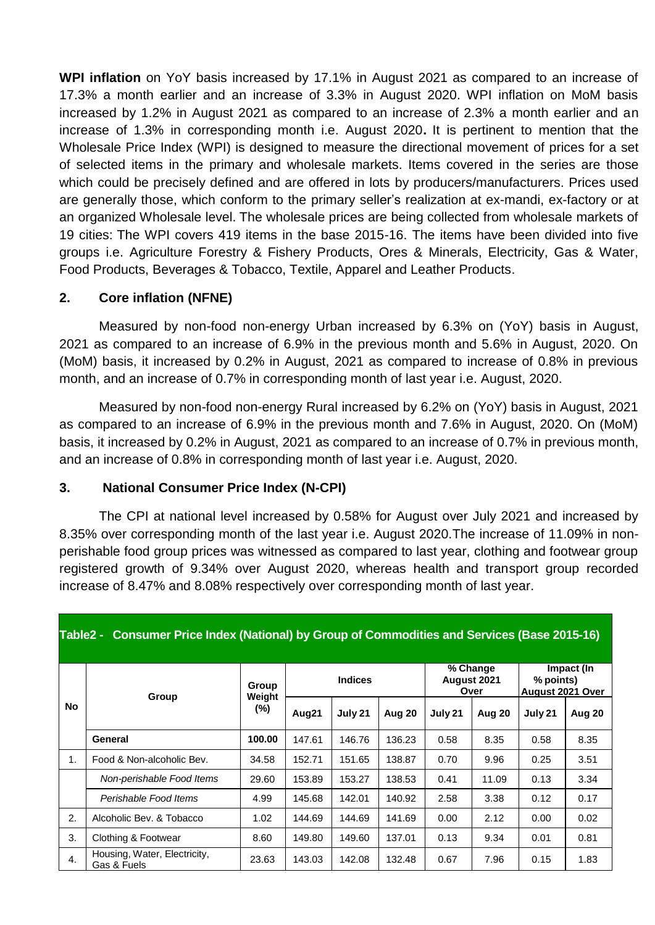**WPI inflation** on YoY basis increased by 17.1% in August 2021 as compared to an increase of 17.3% a month earlier and an increase of 3.3% in August 2020. WPI inflation on MoM basis increased by 1.2% in August 2021 as compared to an increase of 2.3% a month earlier and an increase of 1.3% in corresponding month i.e. August 2020**.** It is pertinent to mention that the Wholesale Price Index (WPI) is designed to measure the directional movement of prices for a set of selected items in the primary and wholesale markets. Items covered in the series are those which could be precisely defined and are offered in lots by producers/manufacturers. Prices used are generally those, which conform to the primary seller's realization at ex-mandi, ex-factory or at an organized Wholesale level. The wholesale prices are being collected from wholesale markets of 19 cities: The WPI covers 419 items in the base 2015-16. The items have been divided into five groups i.e. Agriculture Forestry & Fishery Products, Ores & Minerals, Electricity, Gas & Water, Food Products, Beverages & Tobacco, Textile, Apparel and Leather Products.

### **2. Core inflation (NFNE)**

Measured by non-food non-energy Urban increased by 6.3% on (YoY) basis in August, 2021 as compared to an increase of 6.9% in the previous month and 5.6% in August, 2020. On (MoM) basis, it increased by 0.2% in August, 2021 as compared to increase of 0.8% in previous month, and an increase of 0.7% in corresponding month of last year i.e. August, 2020.

Measured by non-food non-energy Rural increased by 6.2% on (YoY) basis in August, 2021 as compared to an increase of 6.9% in the previous month and 7.6% in August, 2020. On (MoM) basis, it increased by 0.2% in August, 2021 as compared to an increase of 0.7% in previous month, and an increase of 0.8% in corresponding month of last year i.e. August, 2020.

### **3. National Consumer Price Index (N-CPI)**

The CPI at national level increased by 0.58% for August over July 2021 and increased by 8.35% over corresponding month of the last year i.e. August 2020.The increase of 11.09% in nonperishable food group prices was witnessed as compared to last year, clothing and footwear group registered growth of 9.34% over August 2020, whereas health and transport group recorded increase of 8.47% and 8.08% respectively over corresponding month of last year.

| Table2 - Consumer Price Index (National) by Group of Commodities and Services (Base 2015-16) |                                             |                 |        |                |        |                                 |        |                                                    |        |  |
|----------------------------------------------------------------------------------------------|---------------------------------------------|-----------------|--------|----------------|--------|---------------------------------|--------|----------------------------------------------------|--------|--|
| No                                                                                           | Group                                       | Group<br>Weight |        | <b>Indices</b> |        | % Change<br>August 2021<br>Over |        | Impact (In<br>% points)<br><b>August 2021 Over</b> |        |  |
|                                                                                              |                                             | (%)             | Aug21  | July 21        | Aug 20 | July 21                         | Aug 20 | July 21                                            | Aug 20 |  |
|                                                                                              | General                                     | 100.00          | 147.61 | 146.76         | 136.23 | 0.58                            | 8.35   | 0.58                                               | 8.35   |  |
| 1.                                                                                           | Food & Non-alcoholic Bev.                   | 34.58           | 152.71 | 151.65         | 138.87 | 0.70                            | 9.96   | 0.25                                               | 3.51   |  |
|                                                                                              | Non-perishable Food Items                   | 29.60           | 153.89 | 153.27         | 138.53 | 0.41                            | 11.09  | 0.13                                               | 3.34   |  |
|                                                                                              | Perishable Food Items                       | 4.99            | 145.68 | 142.01         | 140.92 | 2.58                            | 3.38   | 0.12                                               | 0.17   |  |
| 2.                                                                                           | Alcoholic Bev. & Tobacco                    | 1.02            | 144.69 | 144.69         | 141.69 | 0.00                            | 2.12   | 0.00                                               | 0.02   |  |
| 3.                                                                                           | Clothing & Footwear                         | 8.60            | 149.80 | 149.60         | 137.01 | 0.13                            | 9.34   | 0.01                                               | 0.81   |  |
| $\overline{4}$ .                                                                             | Housing, Water, Electricity,<br>Gas & Fuels | 23.63           | 143.03 | 142.08         | 132.48 | 0.67                            | 7.96   | 0.15                                               | 1.83   |  |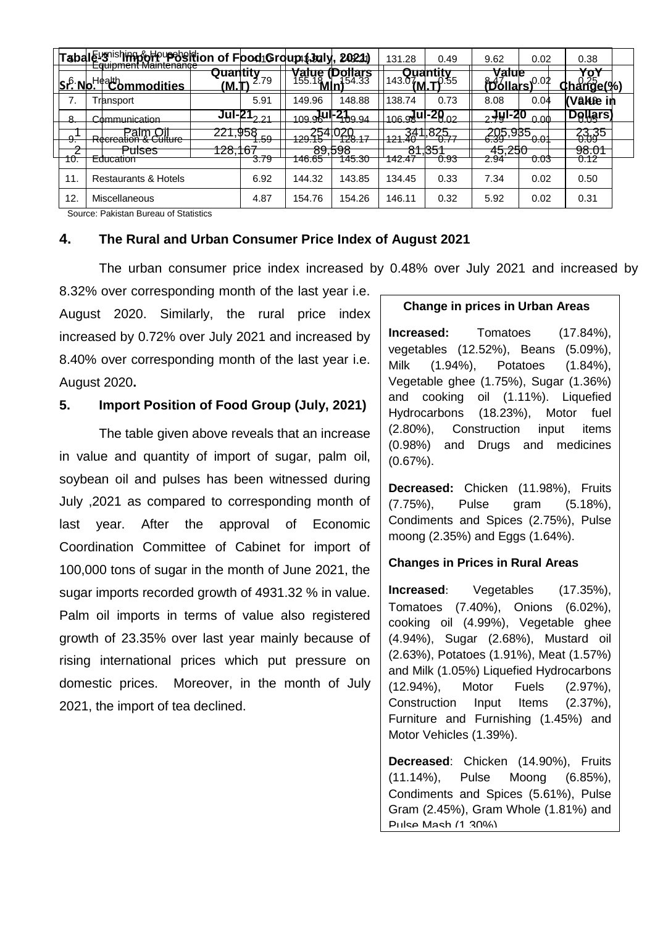|  |                    | Taballe- snishing of pupes it ion of Food Group (July, 2021)            |                                 |                                    |                         |                                  | 131.28                    | 0.49                                | 9.62                     | 0.02                              | 0.38                                       |  |
|--|--------------------|-------------------------------------------------------------------------|---------------------------------|------------------------------------|-------------------------|----------------------------------|---------------------------|-------------------------------------|--------------------------|-----------------------------------|--------------------------------------------|--|
|  | Sr <sup>6</sup> No | <del>Eudibhieht Maintenance</del><br>_Health<br>ommodities <del>.</del> | Quantity<br>MM.                 | 2.79                               | $\frac{9}{155.1}$ M     | <b>oliars</b><br>154.33          | 1143.07                   |                                     | value<br><b>POOL</b>     | 0.02                              | $\mathbf{v}$<br>าส <del>์ที่ดี๊e</del> (%` |  |
|  | 7.                 | Transport                                                               |                                 | 5.91                               | 149.96                  | 148.88                           | 138.74                    | 0.73                                | 8.08                     | 0.04                              | (Value in                                  |  |
|  | R                  | Communication                                                           |                                 | $\overline{JU}$ -21 <sub>221</sub> | <sub>109.9</sub> µu⊩⊾   | "4hq q⊿                          | $_{106}$ a ul-20 $_{02}$  |                                     | <u> 19</u> I-20ج         | 0.00                              | <u>Dollars</u>                             |  |
|  |                    | D                                                                       | 221,958                         | $E^{\Omega}$                       | 1994 <sup>541</sup>     | $4\frac{1}{2}$<br>$\overline{A}$ | 34<br>404                 | <u>825</u>                          | <u>∡ਪ੍</u> ਰ5 °          | <del>י 9<mark>35</mark> - י</del> | 23,35<br>0.09                              |  |
|  | υ.<br>C.           | n <del>corcation a culture</del><br>n.<br>Puises                        | $\overline{\phantom{a}}$<br>.ه∠ | ᠇.৩৩                               | 12 J.TJ<br>oo hoo<br>०७ | ח הסמו<br>pao                    | 7. T. T<br><b>O</b><br>O. | $\sigma$ . $\Gamma$<br>nr.<br>ד כס. | ᠸᠸᠣ<br>$1 - 0$<br>43.Z5U | .                                 | 98.01                                      |  |
|  | πυ.                | Equcation                                                               |                                 | 3.79                               | 146.65                  | 145.30                           | 42.47                     | 0.93                                | 2.94                     | U.U3                              | 0.12                                       |  |
|  | 11.                | <b>Restaurants &amp; Hotels</b>                                         |                                 | 6.92                               | 144.32                  | 143.85                           | 134.45                    | 0.33                                | 7.34                     | 0.02                              | 0.50                                       |  |
|  | 12.                | Miscellaneous                                                           |                                 | 4.87                               | 154.76                  | 154.26                           | 146.11                    | 0.32                                | 5.92                     | 0.02                              | 0.31                                       |  |

Source: Pakistan Bureau of Statistics

### **4. The Rural and Urban Consumer Price Index of August 2021**

The urban consumer price index increased by 0.48% over July 2021 and increased by

8.32% over corresponding month of the last year i.e. August 2020. Similarly, the rural price index increased by 0.72% over July 2021 and increased by 8.40% over corresponding month of the last year i.e. August 2020**.**

### **5. Import Position of Food Group (July, 2021)**

The table given above reveals that an increase in value and quantity of import of sugar, palm oil, soybean oil and pulses has been witnessed during July ,2021 as compared to corresponding month of last year. After the approval of Economic Coordination Committee of Cabinet for import of 100,000 tons of sugar in the month of June 2021, the sugar imports recorded growth of 4931.32 % in value. Palm oil imports in terms of value also registered growth of 23.35% over last year mainly because of rising international prices which put pressure on domestic prices. Moreover, in the month of July 2021, the import of tea declined.

#### **Change in prices in Urban Areas**

**Increased:** Tomatoes (17.84%), vegetables (12.52%), Beans (5.09%), Milk (1.94%), Potatoes (1.84%), Vegetable ghee (1.75%), Sugar (1.36%) and cooking oil (1.11%). Liquefied Hydrocarbons (18.23%), Motor fuel (2.80%), Construction input items (0.98%) and Drugs and medicines (0.67%).

**Decreased:** Chicken (11.98%), Fruits (7.75%), Pulse gram (5.18%), Condiments and Spices (2.75%), Pulse moong (2.35%) and Eggs (1.64%).

#### **Changes in Prices in Rural Areas**

**Increased**: Vegetables (17.35%), Tomatoes (7.40%), Onions (6.02%), cooking oil (4.99%), Vegetable ghee (4.94%), Sugar (2.68%), Mustard oil (2.63%), Potatoes (1.91%), Meat (1.57%) and Milk (1.05%) Liquefied Hydrocarbons (12.94%), Motor Fuels (2.97%), Construction Input Items (2.37%), Furniture and Furnishing (1.45%) and Motor Vehicles (1.39%).

**Decreased**: Chicken (14.90%), Fruits (11.14%), Pulse Moong (6.85%), Condiments and Spices (5.61%), Pulse Gram (2.45%), Gram Whole (1.81%) and Pulse Mash (1.30%).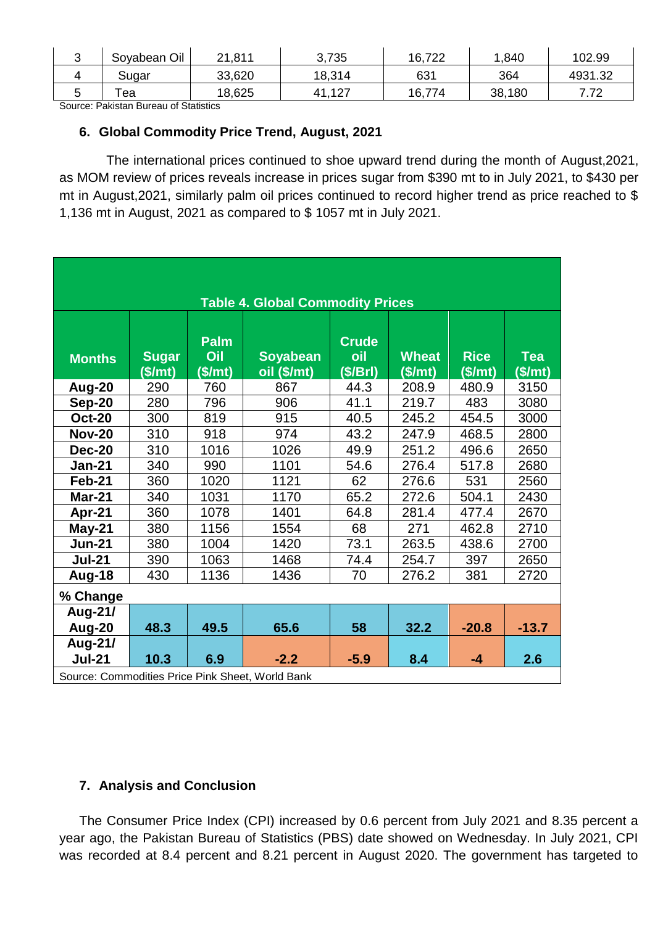| ີ | Soyabean Oil | 21,811 | 3,735      | 16,722 | .840   | 102.99                 |
|---|--------------|--------|------------|--------|--------|------------------------|
|   | Sugar        | 33,620 | 18,314     | 631    | 364    | 4931.32                |
| ີ | ea           | 18,625 | .127<br>41 | 16,774 | 38,180 | 7 70<br>$\cdot$ $\sim$ |

Source: Pakistan Bureau of Statistics

## **6. Global Commodity Price Trend, August, 2021**

 The international prices continued to shoe upward trend during the month of August,2021, as MOM review of prices reveals increase in prices sugar from \$390 mt to in July 2021, to \$430 per mt in August,2021, similarly palm oil prices continued to record higher trend as price reached to \$ 1,136 mt in August, 2021 as compared to \$ 1057 mt in July 2021.

| <b>Table 4. Global Commodity Prices</b>          |                         |                        |                                |                               |                         |                        |                       |  |  |  |
|--------------------------------------------------|-------------------------|------------------------|--------------------------------|-------------------------------|-------------------------|------------------------|-----------------------|--|--|--|
| <b>Months</b>                                    | <b>Sugar</b><br>(\$/mt) | Palm<br>Oil<br>(\$/mt) | <b>Soyabean</b><br>oil (\$/mt) | <b>Crude</b><br>oil<br>(S/Br) | <b>Wheat</b><br>(\$/mt) | <b>Rice</b><br>(\$/mt) | <b>Tea</b><br>(\$/mt) |  |  |  |
| Aug-20                                           | 290                     | 760                    | 867                            | 44.3                          | 208.9                   | 480.9                  | 3150                  |  |  |  |
| <b>Sep-20</b>                                    | 280                     | 796                    | 906                            | 41.1                          | 219.7                   | 483                    | 3080                  |  |  |  |
| <b>Oct-20</b>                                    | 300                     | 819                    | 915                            | 40.5                          | 245.2                   | 454.5                  | 3000                  |  |  |  |
| <b>Nov-20</b>                                    | 310                     | 918                    | 974                            | 43.2                          | 247.9                   | 468.5                  | 2800                  |  |  |  |
| <b>Dec-20</b>                                    | 310                     | 1016                   | 1026                           | 49.9                          | 251.2                   | 496.6                  | 2650                  |  |  |  |
| <b>Jan-21</b>                                    | 340                     | 990                    | 1101                           | 54.6                          | 276.4                   | 517.8                  | 2680                  |  |  |  |
| Feb-21                                           | 360                     | 1020                   | 1121                           | 62                            | 276.6                   | 531                    | 2560                  |  |  |  |
| <b>Mar-21</b>                                    | 340                     | 1031                   | 1170                           | 65.2                          | 272.6                   | 504.1                  | 2430                  |  |  |  |
| Apr-21                                           | 360                     | 1078                   | 1401                           | 64.8                          | 281.4                   | 477.4                  | 2670                  |  |  |  |
| May-21                                           | 380                     | 1156                   | 1554                           | 68                            | 271                     | 462.8                  | 2710                  |  |  |  |
| <b>Jun-21</b>                                    | 380                     | 1004                   | 1420                           | 73.1                          | 263.5                   | 438.6                  | 2700                  |  |  |  |
| <b>Jul-21</b>                                    | 390                     | 1063                   | 1468                           | 74.4                          | 254.7                   | 397                    | 2650                  |  |  |  |
| Aug-18                                           | 430                     | 1136                   | 1436                           | 70                            | 276.2                   | 381                    | 2720                  |  |  |  |
| % Change                                         |                         |                        |                                |                               |                         |                        |                       |  |  |  |
| Aug-21/                                          |                         |                        |                                |                               |                         |                        |                       |  |  |  |
| Aug-20                                           | 48.3                    | 49.5                   | 65.6                           | 58                            | 32.2                    | $-20.8$                | $-13.7$               |  |  |  |
| Aug-21/                                          |                         |                        |                                |                               |                         |                        |                       |  |  |  |
| <b>Jul-21</b>                                    | 10.3                    | 6.9                    | $-2.2$                         | $-5.9$                        | 8.4                     | $-4$                   | 2.6                   |  |  |  |
| Source: Commodities Price Pink Sheet, World Bank |                         |                        |                                |                               |                         |                        |                       |  |  |  |

# **7. Analysis and Conclusion**

The Consumer Price Index (CPI) increased by 0.6 percent from July 2021 and 8.35 percent a year ago, the Pakistan Bureau of Statistics (PBS) date showed on Wednesday. In July 2021, CPI was recorded at 8.4 percent and 8.21 percent in August 2020. The government has targeted to